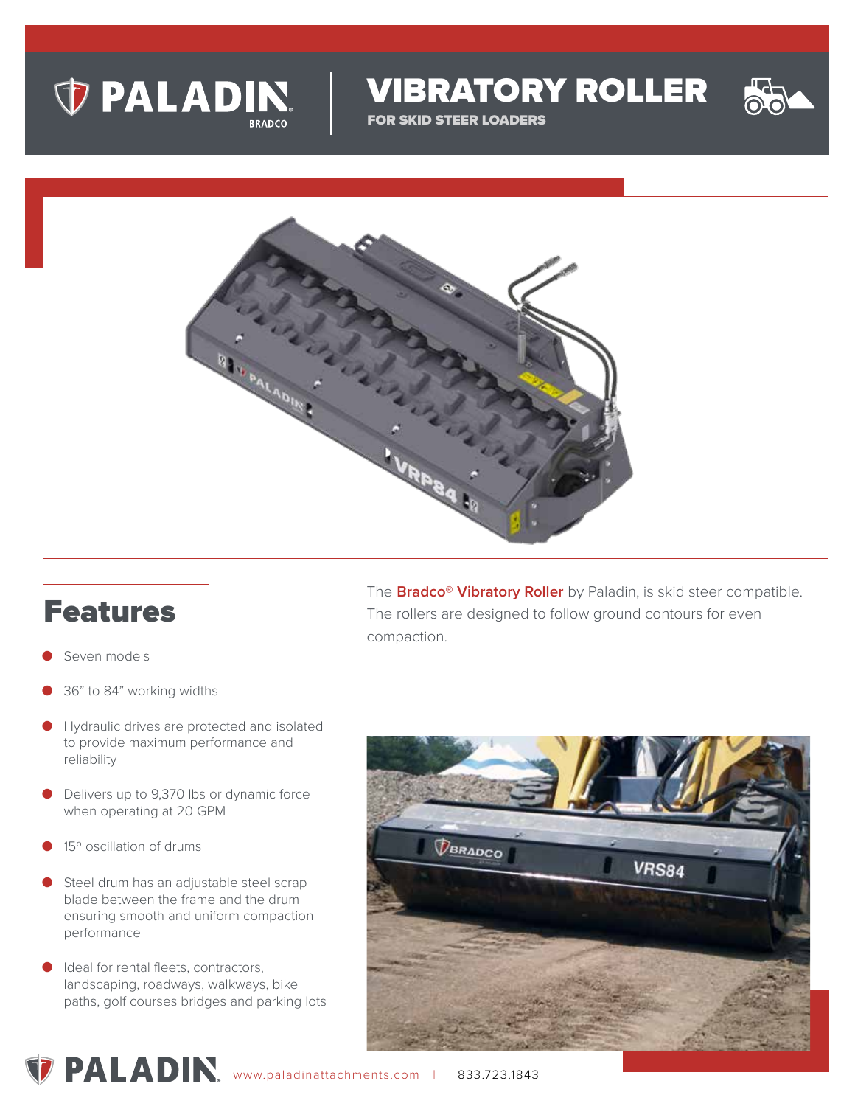

VIBRATORY ROLLER

FOR SKID STEER LOADERS



## Features

- Seven models
- 36" to 84" working widths
- Hydraulic drives are protected and isolated to provide maximum performance and reliability
- Delivers up to 9,370 lbs or dynamic force when operating at 20 GPM
- 15° oscillation of drums
- Steel drum has an adjustable steel scrap blade between the frame and the drum ensuring smooth and uniform compaction performance
- Ideal for rental fleets, contractors, landscaping, roadways, walkways, bike paths, golf courses bridges and parking lots

The **Bradco® Vibratory Roller** by Paladin, is skid steer compatible. The rollers are designed to follow ground contours for even compaction.



**PALADIN**, www.paladinattachments.com | 833.723.1843